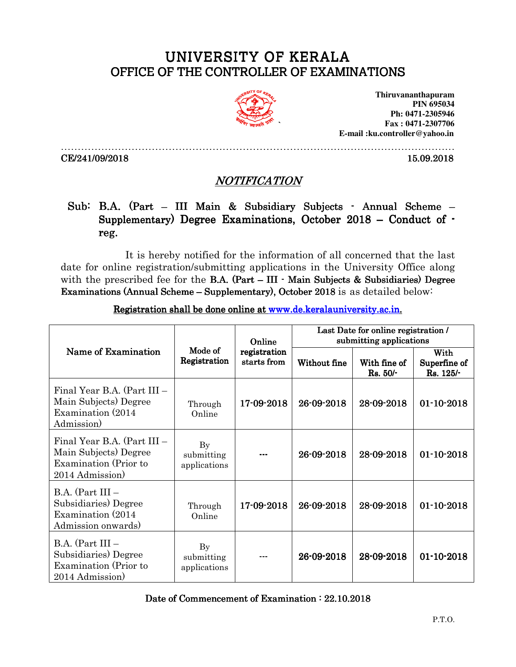## UNIVERSITY OF KERALA OFFICE OF THE CONTROLLER OF EXAMINATIONS



**Thiruvananthapuram PIN 695034 Ph: 0471-2305946 Fax : 0471-2307706 E-mail :ku.controller@yahoo.in** 

………………………………………………………………………………………………………

CE/241/09/2018 15.09.2018

## NOTIFICATION

## Sub: B.A. (Part – III Main & Subsidiary Subjects - Annual Scheme – Supplementary) Degree Examinations, October 2018 – Conduct of  $\cdot$ reg.

It is hereby notified for the information of all concerned that the last date for online registration/submitting applications in the University Office along with the prescribed fee for the B.A. (Part – III  $\cdot$  Main Subjects & Subsidiaries) Degree Examinations (Annual Scheme – Supplementary), October 2018 is as detailed below:

| Name of Examination                                                                             | Mode of<br>Registration                | Online<br>registration<br>starts from | Last Date for online registration /<br>submitting applications |                            |                                     |
|-------------------------------------------------------------------------------------------------|----------------------------------------|---------------------------------------|----------------------------------------------------------------|----------------------------|-------------------------------------|
|                                                                                                 |                                        |                                       | Without fine                                                   | With fine of<br>$Rs. 50/-$ | With<br>Superfine of<br>$Rs. 125/-$ |
| Final Year B.A. (Part III –<br>Main Subjects) Degree<br>Examination (2014)<br>Admission)        | Through<br>Online                      | 17-09-2018                            | 26-09-2018                                                     | 28-09-2018                 | $01 - 10 - 2018$                    |
| Final Year B.A. (Part III –<br>Main Subjects) Degree<br>Examination (Prior to<br>2014 Admission | $\rm By$<br>submitting<br>applications |                                       | 26-09-2018                                                     | 28-09-2018                 | $01 - 10 - 2018$                    |
| $B.A.$ (Part III $-$<br>Subsidiaries) Degree<br>Examination (2014)<br>Admission onwards)        | Through<br>Online                      | 17-09-2018                            | 26-09-2018                                                     | 28-09-2018                 | $01 - 10 - 2018$                    |
| $B.A.$ (Part III $-$<br>Subsidiaries) Degree<br>Examination (Prior to<br>2014 Admission         | By<br>submitting<br>applications       |                                       | 26-09-2018                                                     | 28-09-2018                 | $01 - 10 - 2018$                    |

Registration shall be done online at www.de.keralauniversity.ac.in.

Date of Commencement of Examination :  $22.10.2018$